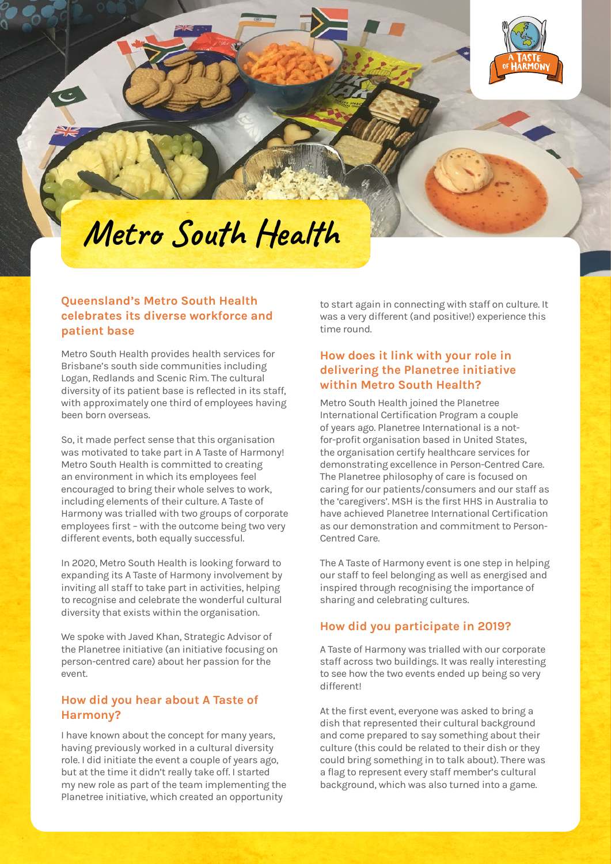

# **Metro South Health**

### **Queensland's Metro South Health celebrates its diverse workforce and patient base**

Metro South Health provides health services for Brisbane's south side communities including Logan, Redlands and Scenic Rim. The cultural diversity of its patient base is reflected in its staff, with approximately one third of employees having been born overseas.

So, it made perfect sense that this organisation was motivated to take part in A Taste of Harmony! Metro South Health is committed to creating an environment in which its employees feel encouraged to bring their whole selves to work, including elements of their culture. A Taste of Harmony was trialled with two groups of corporate employees first – with the outcome being two very different events, both equally successful.

In 2020, Metro South Health is looking forward to expanding its A Taste of Harmony involvement by inviting all staff to take part in activities, helping to recognise and celebrate the wonderful cultural diversity that exists within the organisation.

We spoke with Javed Khan, Strategic Advisor of the Planetree initiative (an initiative focusing on person-centred care) about her passion for the event.

#### **How did you hear about A Taste of Harmony?**

I have known about the concept for many years, having previously worked in a cultural diversity role. I did initiate the event a couple of years ago, but at the time it didn't really take off. I started my new role as part of the team implementing the Planetree initiative, which created an opportunity

to start again in connecting with staff on culture. It was a very different (and positive!) experience this time round.

# **How does it link with your role in delivering the Planetree initiative within Metro South Health?**

Metro South Health joined the Planetree International Certification Program a couple of years ago. Planetree International is a notfor-profit organisation based in United States, the organisation certify healthcare services for demonstrating excellence in Person-Centred Care. The Planetree philosophy of care is focused on caring for our patients/consumers and our staff as the 'caregivers'. MSH is the first HHS in Australia to have achieved Planetree International Certification as our demonstration and commitment to Person-Centred Care.

The A Taste of Harmony event is one step in helping our staff to feel belonging as well as energised and inspired through recognising the importance of sharing and celebrating cultures.

# **How did you participate in 2019?**

A Taste of Harmony was trialled with our corporate staff across two buildings. It was really interesting to see how the two events ended up being so very different!

At the first event, everyone was asked to bring a dish that represented their cultural background and come prepared to say something about their culture (this could be related to their dish or they could bring something in to talk about). There was a flag to represent every staff member's cultural background, which was also turned into a game.